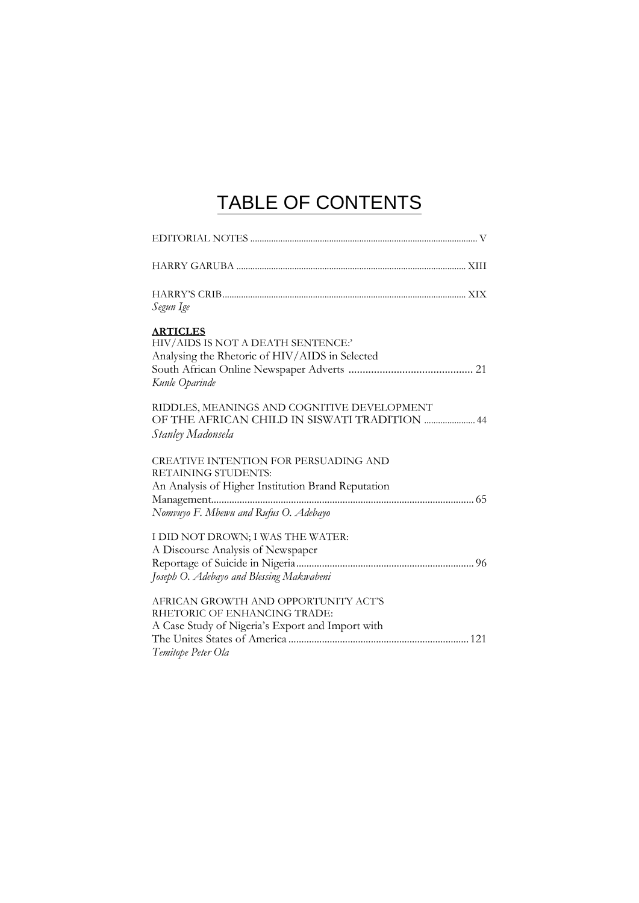## TABLE OF CONTENTS

| Segun Ige                                                                                                                                                   |
|-------------------------------------------------------------------------------------------------------------------------------------------------------------|
| <b>ARTICLES</b><br>HIV/AIDS IS NOT A DEATH SENTENCE:'<br>Analysing the Rhetoric of HIV/AIDS in Selected<br>Kunle Oparinde                                   |
| RIDDLES, MEANINGS AND COGNITIVE DEVELOPMENT<br>OF THE AFRICAN CHILD IN SISWATI TRADITION  44<br>Stanley Madonsela                                           |
| CREATIVE INTENTION FOR PERSUADING AND<br>RETAINING STUDENTS:<br>An Analysis of Higher Institution Brand Reputation<br>Nomvuyo F. Mbewu and Rufus O. Adebayo |
| I DID NOT DROWN; I WAS THE WATER:<br>A Discourse Analysis of Newspaper<br>Joseph O. Adebayo and Blessing Makwabeni                                          |
| AFRICAN GROWTH AND OPPORTUNITY ACT'S<br>RHETORIC OF ENHANCING TRADE:<br>A Case Study of Nigeria's Export and Import with<br>Temitope Peter Ola              |